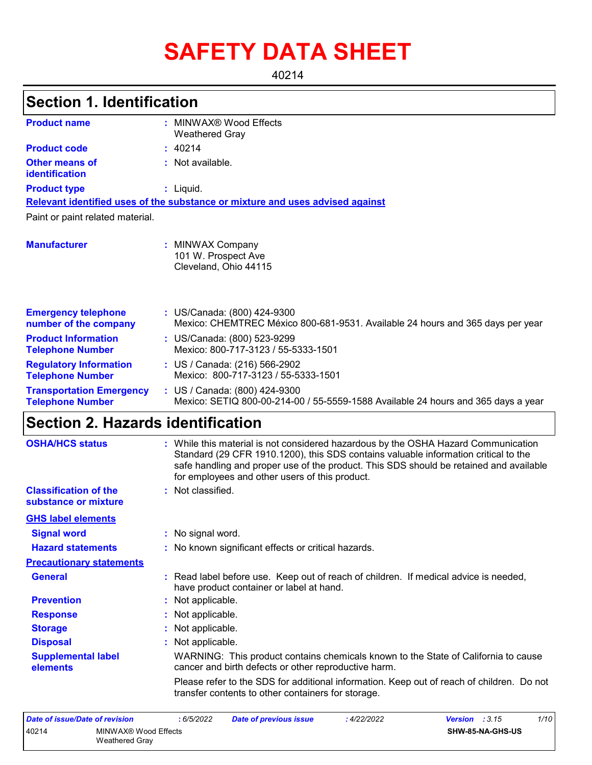# **SAFETY DATA SHEET**

40214

## **Section 1. Identification**

| <b>Product name</b>                                        | : MINWAX® Wood Effects<br><b>Weathered Gray</b>                                                                    |
|------------------------------------------------------------|--------------------------------------------------------------------------------------------------------------------|
| <b>Product code</b>                                        | : 40214                                                                                                            |
| Other means of<br>identification                           | : Not available.                                                                                                   |
| <b>Product type</b>                                        | $:$ Liquid.                                                                                                        |
|                                                            | Relevant identified uses of the substance or mixture and uses advised against                                      |
| Paint or paint related material.                           |                                                                                                                    |
| <b>Manufacturer</b>                                        | : MINWAX Company<br>101 W. Prospect Ave<br>Cleveland, Ohio 44115                                                   |
| <b>Emergency telephone</b><br>number of the company        | : US/Canada: (800) 424-9300<br>Mexico: CHEMTREC México 800-681-9531. Available 24 hours and 365 days per year      |
| <b>Product Information</b><br><b>Telephone Number</b>      | : US/Canada: (800) 523-9299<br>Mexico: 800-717-3123 / 55-5333-1501                                                 |
| <b>Regulatory Information</b><br><b>Telephone Number</b>   | : US / Canada: (216) 566-2902<br>Mexico: 800-717-3123 / 55-5333-1501                                               |
| <b>Transportation Emergency</b><br><b>Telephone Number</b> | : US / Canada: (800) 424-9300<br>Mexico: SETIQ 800-00-214-00 / 55-5559-1588 Available 24 hours and 365 days a year |
| Cootian 2 Herorde identification                           |                                                                                                                    |

### **Section 2. Hazards identification**

| <b>OSHA/HCS status</b>                               | : While this material is not considered hazardous by the OSHA Hazard Communication<br>Standard (29 CFR 1910.1200), this SDS contains valuable information critical to the<br>safe handling and proper use of the product. This SDS should be retained and available<br>for employees and other users of this product. |
|------------------------------------------------------|-----------------------------------------------------------------------------------------------------------------------------------------------------------------------------------------------------------------------------------------------------------------------------------------------------------------------|
| <b>Classification of the</b><br>substance or mixture | : Not classified.                                                                                                                                                                                                                                                                                                     |
| <b>GHS label elements</b>                            |                                                                                                                                                                                                                                                                                                                       |
| <b>Signal word</b>                                   | : No signal word.                                                                                                                                                                                                                                                                                                     |
| <b>Hazard statements</b>                             | : No known significant effects or critical hazards.                                                                                                                                                                                                                                                                   |
| <b>Precautionary statements</b>                      |                                                                                                                                                                                                                                                                                                                       |
| <b>General</b>                                       | : Read label before use. Keep out of reach of children. If medical advice is needed,<br>have product container or label at hand.                                                                                                                                                                                      |
| <b>Prevention</b>                                    | : Not applicable.                                                                                                                                                                                                                                                                                                     |
| <b>Response</b>                                      | : Not applicable.                                                                                                                                                                                                                                                                                                     |
| <b>Storage</b>                                       | : Not applicable.                                                                                                                                                                                                                                                                                                     |
| <b>Disposal</b>                                      | : Not applicable.                                                                                                                                                                                                                                                                                                     |
| <b>Supplemental label</b><br><b>elements</b>         | WARNING: This product contains chemicals known to the State of California to cause<br>cancer and birth defects or other reproductive harm.                                                                                                                                                                            |
|                                                      | Please refer to the SDS for additional information. Keep out of reach of children. Do not<br>transfer contents to other containers for storage.                                                                                                                                                                       |

| Date of issue/Date of revision |                                        | : 6/5/2022 | Date of previous issue | : 4/22/2022 | <b>Version</b> : $3.15$ | 1/10 |
|--------------------------------|----------------------------------------|------------|------------------------|-------------|-------------------------|------|
| 40214                          | MINWAX® Wood Effects<br>Weathered Gray |            |                        |             | SHW-85-NA-GHS-US        |      |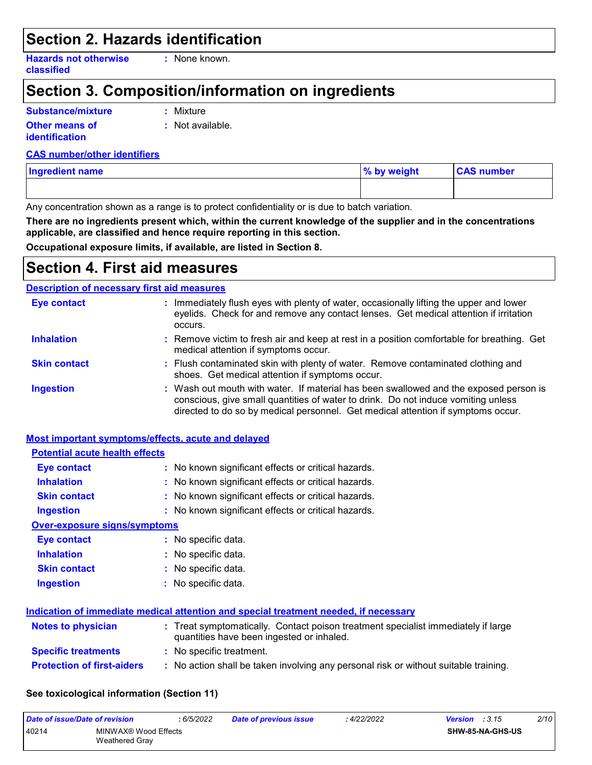### **Section 2. Hazards identification**

**Hazards not otherwise classified**

**:** None known.

## **Section 3. Composition/information on ingredients**

## **Substance/mixture**

**:** Mixture

- **Other means of identification**
- 
- **:** Not available.

#### **CAS number/other identifiers**

| <b>Ingredient name</b> | % by weight | <b>CAS number</b> |
|------------------------|-------------|-------------------|
|                        |             |                   |

Any concentration shown as a range is to protect confidentiality or is due to batch variation.

**There are no ingredients present which, within the current knowledge of the supplier and in the concentrations applicable, are classified and hence require reporting in this section.**

**Occupational exposure limits, if available, are listed in Section 8.**

### **Section 4. First aid measures**

**Most important symptoms/effects, acute and delayed**

#### **Description of necessary first aid measures**

| <b>Eye contact</b>  | : Immediately flush eyes with plenty of water, occasionally lifting the upper and lower<br>eyelids. Check for and remove any contact lenses. Get medical attention if irritation<br>occurs.                                                                    |
|---------------------|----------------------------------------------------------------------------------------------------------------------------------------------------------------------------------------------------------------------------------------------------------------|
| <b>Inhalation</b>   | : Remove victim to fresh air and keep at rest in a position comfortable for breathing. Get<br>medical attention if symptoms occur.                                                                                                                             |
| <b>Skin contact</b> | : Flush contaminated skin with plenty of water. Remove contaminated clothing and<br>shoes. Get medical attention if symptoms occur.                                                                                                                            |
| <b>Ingestion</b>    | : Wash out mouth with water. If material has been swallowed and the exposed person is<br>conscious, give small quantities of water to drink. Do not induce vomiting unless<br>directed to do so by medical personnel. Get medical attention if symptoms occur. |

| <b>Potential acute health effects</b> |                                                                                                                               |
|---------------------------------------|-------------------------------------------------------------------------------------------------------------------------------|
| Eye contact                           | : No known significant effects or critical hazards.                                                                           |
| <b>Inhalation</b>                     | : No known significant effects or critical hazards.                                                                           |
| <b>Skin contact</b>                   | : No known significant effects or critical hazards.                                                                           |
| <b>Ingestion</b>                      | : No known significant effects or critical hazards.                                                                           |
| <b>Over-exposure signs/symptoms</b>   |                                                                                                                               |
| <b>Eye contact</b>                    | : No specific data.                                                                                                           |
| <b>Inhalation</b>                     | : No specific data.                                                                                                           |
| <b>Skin contact</b>                   | : No specific data.                                                                                                           |
| <b>Ingestion</b>                      | $:$ No specific data.                                                                                                         |
|                                       | Indication of immediate medical attention and special treatment needed, if necessary                                          |
| <b>Notes to physician</b>             | : Treat symptomatically. Contact poison treatment specialist immediately if large<br>quantities have been ingested or inhaled |

|                                   | quentimes neirs soon ingootse of inflatoer.                                        |
|-----------------------------------|------------------------------------------------------------------------------------|
| <b>Specific treatments</b>        | : No specific treatment.                                                           |
| <b>Protection of first-aiders</b> | No action shall be taken involving any personal risk or without suitable training. |

#### **See toxicological information (Section 11)**

| Date of issue/Date of revision |                                               | : 6/5/2022 | <b>Date of previous issue</b> | 4/22/2022 | <b>Version</b> : $3.15$ | 2/10 |
|--------------------------------|-----------------------------------------------|------------|-------------------------------|-----------|-------------------------|------|
| 40214                          | MINWAX® Wood Effects<br><b>Weathered Grav</b> |            |                               |           | SHW-85-NA-GHS-US        |      |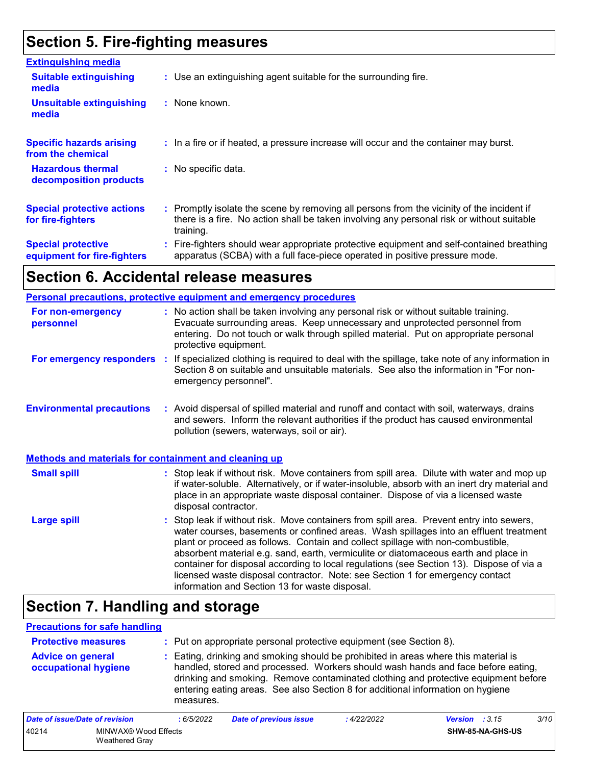## **Section 5. Fire-fighting measures**

| <b>Extinguishing media</b>                               |                                                                                                                                                                                                     |  |
|----------------------------------------------------------|-----------------------------------------------------------------------------------------------------------------------------------------------------------------------------------------------------|--|
| <b>Suitable extinguishing</b><br>media                   | : Use an extinguishing agent suitable for the surrounding fire.                                                                                                                                     |  |
| <b>Unsuitable extinguishing</b><br>media                 | $:$ None known.                                                                                                                                                                                     |  |
| <b>Specific hazards arising</b><br>from the chemical     | : In a fire or if heated, a pressure increase will occur and the container may burst.                                                                                                               |  |
| <b>Hazardous thermal</b><br>decomposition products       | : No specific data.                                                                                                                                                                                 |  |
| <b>Special protective actions</b><br>for fire-fighters   | : Promptly isolate the scene by removing all persons from the vicinity of the incident if<br>there is a fire. No action shall be taken involving any personal risk or without suitable<br>training. |  |
| <b>Special protective</b><br>equipment for fire-fighters | : Fire-fighters should wear appropriate protective equipment and self-contained breathing<br>apparatus (SCBA) with a full face-piece operated in positive pressure mode.                            |  |

## **Section 6. Accidental release measures**

|                                                              | Personal precautions, protective equipment and emergency procedures                                                                                                                                                                                                                                                                                                                                                                                                                                                                                                                        |  |
|--------------------------------------------------------------|--------------------------------------------------------------------------------------------------------------------------------------------------------------------------------------------------------------------------------------------------------------------------------------------------------------------------------------------------------------------------------------------------------------------------------------------------------------------------------------------------------------------------------------------------------------------------------------------|--|
| For non-emergency<br>personnel                               | : No action shall be taken involving any personal risk or without suitable training.<br>Evacuate surrounding areas. Keep unnecessary and unprotected personnel from<br>entering. Do not touch or walk through spilled material. Put on appropriate personal<br>protective equipment.                                                                                                                                                                                                                                                                                                       |  |
| For emergency responders                                     | : If specialized clothing is required to deal with the spillage, take note of any information in<br>Section 8 on suitable and unsuitable materials. See also the information in "For non-<br>emergency personnel".                                                                                                                                                                                                                                                                                                                                                                         |  |
| <b>Environmental precautions</b>                             | : Avoid dispersal of spilled material and runoff and contact with soil, waterways, drains<br>and sewers. Inform the relevant authorities if the product has caused environmental<br>pollution (sewers, waterways, soil or air).                                                                                                                                                                                                                                                                                                                                                            |  |
| <b>Methods and materials for containment and cleaning up</b> |                                                                                                                                                                                                                                                                                                                                                                                                                                                                                                                                                                                            |  |
| <b>Small spill</b>                                           | : Stop leak if without risk. Move containers from spill area. Dilute with water and mop up<br>if water-soluble. Alternatively, or if water-insoluble, absorb with an inert dry material and<br>place in an appropriate waste disposal container. Dispose of via a licensed waste<br>disposal contractor.                                                                                                                                                                                                                                                                                   |  |
| <b>Large spill</b>                                           | : Stop leak if without risk. Move containers from spill area. Prevent entry into sewers,<br>water courses, basements or confined areas. Wash spillages into an effluent treatment<br>plant or proceed as follows. Contain and collect spillage with non-combustible,<br>absorbent material e.g. sand, earth, vermiculite or diatomaceous earth and place in<br>container for disposal according to local regulations (see Section 13). Dispose of via a<br>licensed waste disposal contractor. Note: see Section 1 for emergency contact<br>information and Section 13 for waste disposal. |  |

## **Section 7. Handling and storage**

#### **Precautions for safe handling**

| <b>Protective measures</b>                       | : Put on appropriate personal protective equipment (see Section 8).                                                                                                                                                                                                                                                                                           |
|--------------------------------------------------|---------------------------------------------------------------------------------------------------------------------------------------------------------------------------------------------------------------------------------------------------------------------------------------------------------------------------------------------------------------|
| <b>Advice on general</b><br>occupational hygiene | : Eating, drinking and smoking should be prohibited in areas where this material is<br>handled, stored and processed. Workers should wash hands and face before eating,<br>drinking and smoking. Remove contaminated clothing and protective equipment before<br>entering eating areas. See also Section 8 for additional information on hygiene<br>measures. |

| Date of issue/Date of revision |                                        | : 6/5/2022 | <b>Date of previous issue</b> | : 4/22/2022 | <b>Version</b> : $3.15$ |                         | 3/10 |
|--------------------------------|----------------------------------------|------------|-------------------------------|-------------|-------------------------|-------------------------|------|
| 40214                          | MINWAX® Wood Effects<br>Weathered Gray |            |                               |             |                         | <b>SHW-85-NA-GHS-US</b> |      |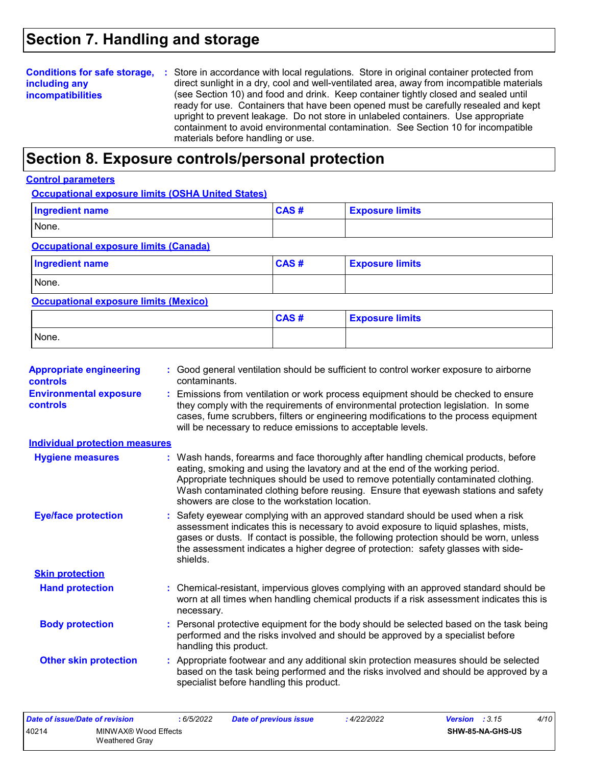### **Section 7. Handling and storage**

### **including any incompatibilities**

**Conditions for safe storage,** : Store in accordance with local regulations. Store in original container protected from direct sunlight in a dry, cool and well-ventilated area, away from incompatible materials (see Section 10) and food and drink. Keep container tightly closed and sealed until ready for use. Containers that have been opened must be carefully resealed and kept upright to prevent leakage. Do not store in unlabeled containers. Use appropriate containment to avoid environmental contamination. See Section 10 for incompatible materials before handling or use.

### **Section 8. Exposure controls/personal protection**

#### **Control parameters**

#### **Occupational exposure limits (OSHA United States)**

| Ingredient name                              | CAS# | <b>Exposure limits</b> |  |  |  |
|----------------------------------------------|------|------------------------|--|--|--|
| None.                                        |      |                        |  |  |  |
| <b>Occupational exposure limits (Canada)</b> |      |                        |  |  |  |

| <b>Ingredient name</b> | CAS# | <b>Exposure limits</b> |
|------------------------|------|------------------------|
| None.                  |      |                        |

#### **Occupational exposure limits (Mexico)**

|       | CAS# | <b>Exposure limits</b> |
|-------|------|------------------------|
| None. |      |                        |

| <b>Appropriate engineering</b><br><b>controls</b> | : Good general ventilation should be sufficient to control worker exposure to airborne<br>contaminants.                                                                                                                                                                                                                                                                                           |
|---------------------------------------------------|---------------------------------------------------------------------------------------------------------------------------------------------------------------------------------------------------------------------------------------------------------------------------------------------------------------------------------------------------------------------------------------------------|
| <b>Environmental exposure</b><br>controls         | Emissions from ventilation or work process equipment should be checked to ensure<br>they comply with the requirements of environmental protection legislation. In some<br>cases, fume scrubbers, filters or engineering modifications to the process equipment<br>will be necessary to reduce emissions to acceptable levels.                                                                     |
| <b>Individual protection measures</b>             |                                                                                                                                                                                                                                                                                                                                                                                                   |
| <b>Hygiene measures</b>                           | : Wash hands, forearms and face thoroughly after handling chemical products, before<br>eating, smoking and using the lavatory and at the end of the working period.<br>Appropriate techniques should be used to remove potentially contaminated clothing.<br>Wash contaminated clothing before reusing. Ensure that eyewash stations and safety<br>showers are close to the workstation location. |
| <b>Eye/face protection</b>                        | Safety eyewear complying with an approved standard should be used when a risk<br>assessment indicates this is necessary to avoid exposure to liquid splashes, mists,<br>gases or dusts. If contact is possible, the following protection should be worn, unless<br>the assessment indicates a higher degree of protection: safety glasses with side-<br>shields.                                  |
| <b>Skin protection</b>                            |                                                                                                                                                                                                                                                                                                                                                                                                   |
| <b>Hand protection</b>                            | : Chemical-resistant, impervious gloves complying with an approved standard should be<br>worn at all times when handling chemical products if a risk assessment indicates this is<br>necessary.                                                                                                                                                                                                   |
| <b>Body protection</b>                            | : Personal protective equipment for the body should be selected based on the task being<br>performed and the risks involved and should be approved by a specialist before<br>handling this product.                                                                                                                                                                                               |
| <b>Other skin protection</b>                      | : Appropriate footwear and any additional skin protection measures should be selected<br>based on the task being performed and the risks involved and should be approved by a<br>specialist before handling this product.                                                                                                                                                                         |

| Date of issue/Date of revision |                | : 6/5/2022 | <b>Date of previous issue</b> | 4/22/2022 | <b>Version</b> : $3.15$ |  | 4/10 |
|--------------------------------|----------------|------------|-------------------------------|-----------|-------------------------|--|------|
| 40214<br>MINWAX® Wood Effects  |                |            |                               |           | SHW-85-NA-GHS-US        |  |      |
|                                | Weathered Grav |            |                               |           |                         |  |      |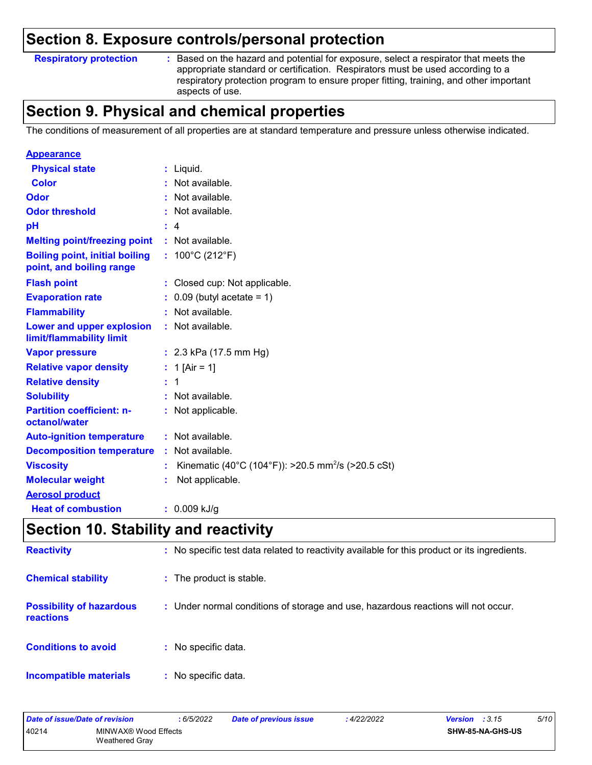### **Section 8. Exposure controls/personal protection**

#### **Respiratory protection :**

Based on the hazard and potential for exposure, select a respirator that meets the appropriate standard or certification. Respirators must be used according to a respiratory protection program to ensure proper fitting, training, and other important aspects of use.

### **Section 9. Physical and chemical properties**

The conditions of measurement of all properties are at standard temperature and pressure unless otherwise indicated.

| <b>Appearance</b>                                                 |                                                                |
|-------------------------------------------------------------------|----------------------------------------------------------------|
| <b>Physical state</b>                                             | $:$ Liquid.                                                    |
| Color                                                             | : Not available.                                               |
| Odor                                                              | Not available.                                                 |
| <b>Odor threshold</b>                                             | Not available.                                                 |
| рH                                                                | $\therefore$ 4                                                 |
| <b>Melting point/freezing point</b>                               | $:$ Not available.                                             |
| <b>Boiling point, initial boiling</b><br>point, and boiling range | : $100^{\circ}$ C (212 $^{\circ}$ F)                           |
| <b>Flash point</b>                                                | : Closed cup: Not applicable.                                  |
| <b>Evaporation rate</b>                                           | $\therefore$ 0.09 (butyl acetate = 1)                          |
| <b>Flammability</b>                                               | : Not available.                                               |
| Lower and upper explosion<br>limit/flammability limit             | : Not available.                                               |
| <b>Vapor pressure</b>                                             | : $2.3$ kPa (17.5 mm Hg)                                       |
| <b>Relative vapor density</b>                                     | : 1 [Air = 1]                                                  |
| <b>Relative density</b>                                           | : 1                                                            |
| <b>Solubility</b>                                                 | : Not available.                                               |
| <b>Partition coefficient: n-</b><br>octanol/water                 | : Not applicable.                                              |
| <b>Auto-ignition temperature</b>                                  | : Not available.                                               |
| <b>Decomposition temperature</b>                                  | Not available.<br>t.                                           |
| <b>Viscosity</b>                                                  | Kinematic (40°C (104°F)): >20.5 mm <sup>2</sup> /s (>20.5 cSt) |
| <b>Molecular weight</b>                                           | Not applicable.                                                |
| <b>Aerosol product</b>                                            |                                                                |
| <b>Heat of combustion</b>                                         | $: 0.009$ kJ/g                                                 |

### **Section 10. Stability and reactivity**

| <b>Reactivity</b>                            | : No specific test data related to reactivity available for this product or its ingredients. |
|----------------------------------------------|----------------------------------------------------------------------------------------------|
| <b>Chemical stability</b>                    | : The product is stable.                                                                     |
| <b>Possibility of hazardous</b><br>reactions | : Under normal conditions of storage and use, hazardous reactions will not occur.            |
| <b>Conditions to avoid</b>                   | : No specific data.                                                                          |
| <b>Incompatible materials</b>                | : No specific data.                                                                          |

| Date of issue/Date of revision |                                        | 6/5/2022 | Date of previous issue | 4/22/2022 | <b>Version</b> : $3.15$ | 5/10 |
|--------------------------------|----------------------------------------|----------|------------------------|-----------|-------------------------|------|
| 40214                          | MINWAX® Wood Effects<br>Weathered Grav |          |                        |           | SHW-85-NA-GHS-US        |      |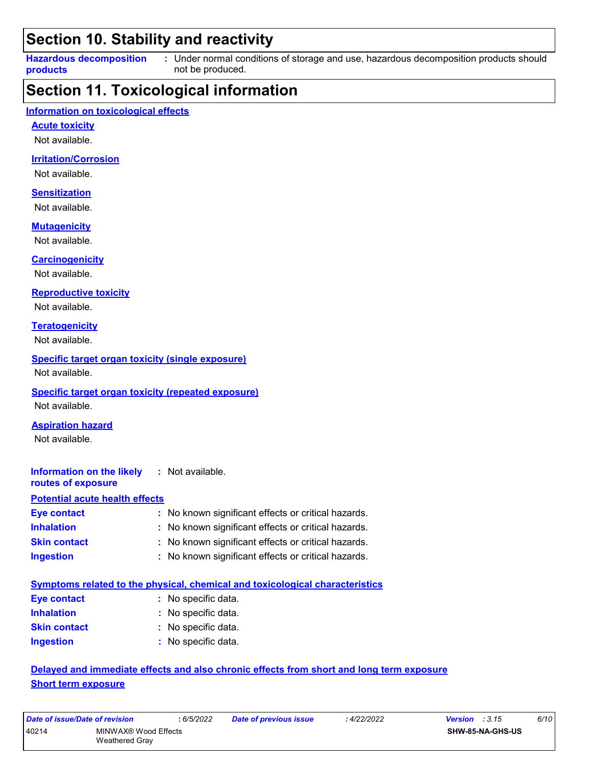### **Section 10. Stability and reactivity**

**Hazardous decomposition products** Under normal conditions of storage and use, hazardous decomposition products should **:** not be produced.

### **Section 11. Toxicological information**

#### **Information on toxicological effects**

**Acute toxicity**

Not available.

#### **Irritation/Corrosion**

Not available.

#### **Sensitization**

Not available.

#### **Mutagenicity**

Not available.

#### **Carcinogenicity**

Not available.

#### **Reproductive toxicity**

Not available.

#### **Teratogenicity**

Not available.

#### **Specific target organ toxicity (single exposure)**

Not available.

#### **Specific target organ toxicity (repeated exposure)**

Not available.

#### **Aspiration hazard**

Not available.

#### **Information on the likely routes of exposure :** Not available.

#### **Potential acute health effects**

| <b>Eye contact</b>  | : No known significant effects or critical hazards. |
|---------------------|-----------------------------------------------------|
| <b>Inhalation</b>   | : No known significant effects or critical hazards. |
| <b>Skin contact</b> | : No known significant effects or critical hazards. |
| <b>Ingestion</b>    | : No known significant effects or critical hazards. |

|                     | Symptoms related to the physical, chemical and toxicological characteristics |
|---------------------|------------------------------------------------------------------------------|
| Eye contact         | : No specific data.                                                          |
| <b>Inhalation</b>   | : No specific data.                                                          |
| <b>Skin contact</b> | : No specific data.                                                          |
| <b>Ingestion</b>    | : No specific data.                                                          |

#### **Delayed and immediate effects and also chronic effects from short and long term exposure Short term exposure**

| Date of issue/Date of revision |                      | : 6/5/2022 | <b>Date of previous issue</b> | : 4/22/2022 | <b>Version</b> : $3.15$ | 6/10 |
|--------------------------------|----------------------|------------|-------------------------------|-------------|-------------------------|------|
| 40214                          | MINWAX® Wood Effects |            |                               |             | <b>SHW-85-NA-GHS-US</b> |      |
|                                | Weathered Grav       |            |                               |             |                         |      |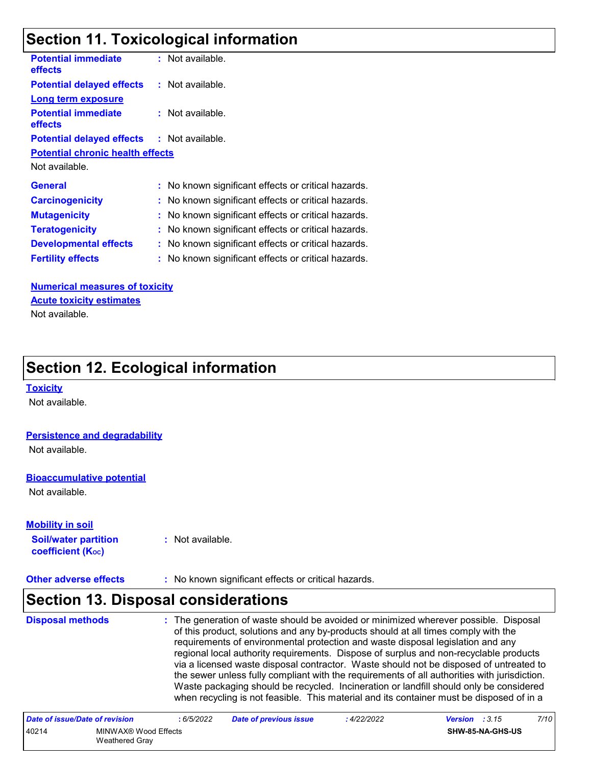### **Section 11. Toxicological information**

| <b>Potential immediate</b><br>effects             | : Not available.                                    |
|---------------------------------------------------|-----------------------------------------------------|
| <b>Potential delayed effects</b>                  | : Not available.                                    |
| <b>Long term exposure</b>                         |                                                     |
| <b>Potential immediate</b><br>effects             | : Not available.                                    |
| <b>Potential delayed effects : Not available.</b> |                                                     |
| <b>Potential chronic health effects</b>           |                                                     |
| Not available.                                    |                                                     |
| <b>General</b>                                    | : No known significant effects or critical hazards. |
| <b>Carcinogenicity</b>                            | : No known significant effects or critical hazards. |
| <b>Mutagenicity</b>                               | : No known significant effects or critical hazards. |
| <b>Teratogenicity</b>                             | No known significant effects or critical hazards.   |
| <b>Developmental effects</b>                      | : No known significant effects or critical hazards. |
| <b>Fertility effects</b>                          | : No known significant effects or critical hazards. |

#### **Numerical measures of toxicity Acute toxicity estimates**

Not available.

### **Section 12. Ecological information**

#### **Toxicity**

Not available.

#### **Persistence and degradability**

Not available.

#### **Bioaccumulative potential**

Not available.

#### **Mobility in soil**

**Soil/water partition coefficient (KOC) :** Not available.

**Other adverse effects** : No known significant effects or critical hazards.

### **Section 13. Disposal considerations**

#### **Disposal methods :**

The generation of waste should be avoided or minimized wherever possible. Disposal of this product, solutions and any by-products should at all times comply with the requirements of environmental protection and waste disposal legislation and any regional local authority requirements. Dispose of surplus and non-recyclable products via a licensed waste disposal contractor. Waste should not be disposed of untreated to the sewer unless fully compliant with the requirements of all authorities with jurisdiction. Waste packaging should be recycled. Incineration or landfill should only be considered when recycling is not feasible. This material and its container must be disposed of in a

| Date of issue/Date of revision |                                        | : 6/5/2022 | <b>Date of previous issue</b> | : 4/22/2022 | <b>Version</b> : $3.15$ | 7/10 |
|--------------------------------|----------------------------------------|------------|-------------------------------|-------------|-------------------------|------|
| 40214                          | MINWAX® Wood Effects<br>Weathered Gray |            |                               |             | SHW-85-NA-GHS-US        |      |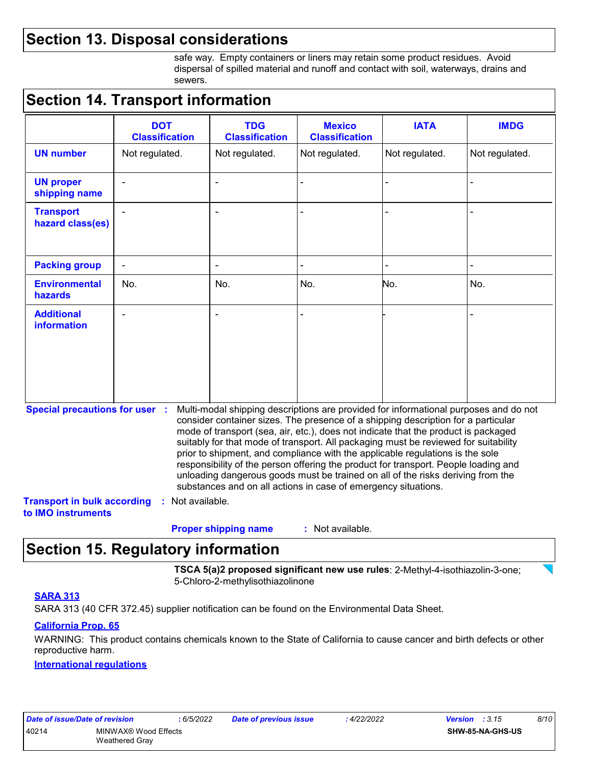### **Section 13. Disposal considerations**

safe way. Empty containers or liners may retain some product residues. Avoid dispersal of spilled material and runoff and contact with soil, waterways, drains and sewers.

### **Section 14. Transport information**

|                                      | <b>DOT</b><br><b>Classification</b> | <b>TDG</b><br><b>Classification</b> | <b>Mexico</b><br><b>Classification</b> | <b>IATA</b>    | <b>IMDG</b>              |  |  |
|--------------------------------------|-------------------------------------|-------------------------------------|----------------------------------------|----------------|--------------------------|--|--|
| <b>UN number</b>                     | Not regulated.                      | Not regulated.                      | Not regulated.                         | Not regulated. | Not regulated.           |  |  |
| <b>UN proper</b><br>shipping name    | $\overline{\phantom{a}}$            | $\blacksquare$                      | $\blacksquare$                         |                | $\blacksquare$           |  |  |
| <b>Transport</b><br>hazard class(es) | $\blacksquare$                      | $\blacksquare$                      | $\blacksquare$                         |                | $\overline{\phantom{0}}$ |  |  |
| <b>Packing group</b>                 | $\overline{\phantom{a}}$            | $\overline{\phantom{a}}$            | $\blacksquare$                         | $\blacksquare$ | $\blacksquare$           |  |  |
| <b>Environmental</b><br>hazards      | No.                                 | No.                                 | No.                                    | No.            | No.                      |  |  |
| <b>Additional</b><br>information     | $\blacksquare$                      | $\blacksquare$                      |                                        |                |                          |  |  |

**Special precautions for user :** Multi-modal shipping descriptions are provided for informational purposes and do not consider container sizes. The presence of a shipping description for a particular mode of transport (sea, air, etc.), does not indicate that the product is packaged suitably for that mode of transport. All packaging must be reviewed for suitability prior to shipment, and compliance with the applicable regulations is the sole responsibility of the person offering the product for transport. People loading and unloading dangerous goods must be trained on all of the risks deriving from the substances and on all actions in case of emergency situations.

**Transport in bulk according to IMO instruments :** Not available.

> : Not available. **Proper shipping name :**

### **Section 15. Regulatory information**

**TSCA 5(a)2 proposed significant new use rules**: 2-Methyl-4-isothiazolin-3-one; 5-Chloro-2-methylisothiazolinone

#### **SARA 313**

SARA 313 (40 CFR 372.45) supplier notification can be found on the Environmental Data Sheet.

#### **California Prop. 65**

WARNING: This product contains chemicals known to the State of California to cause cancer and birth defects or other reproductive harm.

#### **International regulations**

| Date of issue/Date of revision |                       | : 6/5/2022 |
|--------------------------------|-----------------------|------------|
| 40214                          | MINWAX® Wood Effects  |            |
|                                | <b>Weathered Gray</b> |            |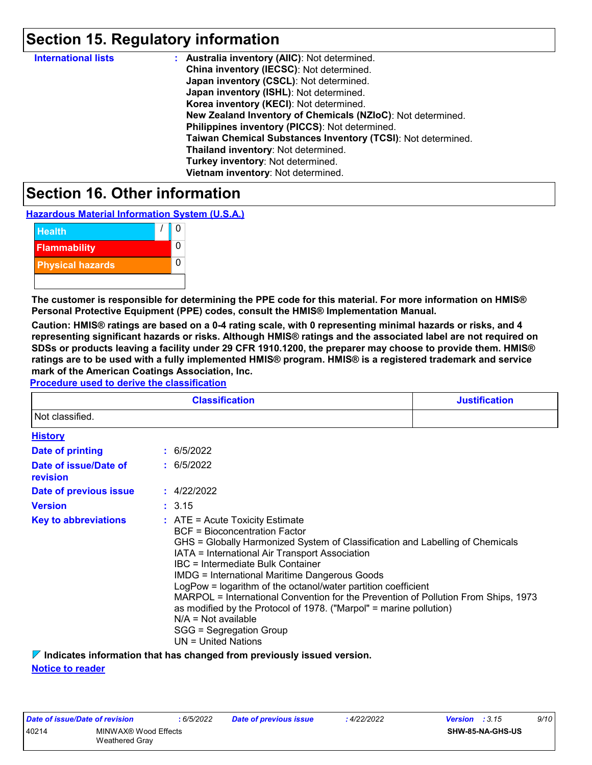### **Section 15. Regulatory information**

| <b>International lists</b> | : Australia inventory (AIIC): Not determined.                |
|----------------------------|--------------------------------------------------------------|
|                            | China inventory (IECSC): Not determined.                     |
|                            | Japan inventory (CSCL): Not determined.                      |
|                            | Japan inventory (ISHL): Not determined.                      |
|                            | Korea inventory (KECI): Not determined.                      |
|                            | New Zealand Inventory of Chemicals (NZIoC): Not determined.  |
|                            | Philippines inventory (PICCS): Not determined.               |
|                            | Taiwan Chemical Substances Inventory (TCSI): Not determined. |
|                            | Thailand inventory: Not determined.                          |
|                            | Turkey inventory: Not determined.                            |
|                            | Vietnam inventory: Not determined.                           |

### **Section 16. Other information**

**Hazardous Material Information System (U.S.A.)**



**The customer is responsible for determining the PPE code for this material. For more information on HMIS® Personal Protective Equipment (PPE) codes, consult the HMIS® Implementation Manual.**

**Caution: HMIS® ratings are based on a 0-4 rating scale, with 0 representing minimal hazards or risks, and 4 representing significant hazards or risks. Although HMIS® ratings and the associated label are not required on SDSs or products leaving a facility under 29 CFR 1910.1200, the preparer may choose to provide them. HMIS® ratings are to be used with a fully implemented HMIS® program. HMIS® is a registered trademark and service mark of the American Coatings Association, Inc.**

#### **Procedure used to derive the classification**

| <b>Classification</b><br><b>Justification</b><br>Not classified.<br><b>History</b><br>: 6/5/2022<br>Date of printing<br>: 6/5/2022<br>Date of issue/Date of<br>revision<br>: 4/22/2022<br>Date of previous issue<br><b>Version</b><br>: 3.15 |                                                                                                                                                                                                                                                                                                                                                                                                                                                                                                                                                                                                                     |  |  |
|----------------------------------------------------------------------------------------------------------------------------------------------------------------------------------------------------------------------------------------------|---------------------------------------------------------------------------------------------------------------------------------------------------------------------------------------------------------------------------------------------------------------------------------------------------------------------------------------------------------------------------------------------------------------------------------------------------------------------------------------------------------------------------------------------------------------------------------------------------------------------|--|--|
|                                                                                                                                                                                                                                              |                                                                                                                                                                                                                                                                                                                                                                                                                                                                                                                                                                                                                     |  |  |
|                                                                                                                                                                                                                                              |                                                                                                                                                                                                                                                                                                                                                                                                                                                                                                                                                                                                                     |  |  |
|                                                                                                                                                                                                                                              |                                                                                                                                                                                                                                                                                                                                                                                                                                                                                                                                                                                                                     |  |  |
|                                                                                                                                                                                                                                              |                                                                                                                                                                                                                                                                                                                                                                                                                                                                                                                                                                                                                     |  |  |
|                                                                                                                                                                                                                                              |                                                                                                                                                                                                                                                                                                                                                                                                                                                                                                                                                                                                                     |  |  |
|                                                                                                                                                                                                                                              |                                                                                                                                                                                                                                                                                                                                                                                                                                                                                                                                                                                                                     |  |  |
| <b>Key to abbreviations</b>                                                                                                                                                                                                                  | $:$ ATE = Acute Toxicity Estimate<br><b>BCF</b> = Bioconcentration Factor<br>GHS = Globally Harmonized System of Classification and Labelling of Chemicals<br>IATA = International Air Transport Association<br>IBC = Intermediate Bulk Container<br><b>IMDG</b> = International Maritime Dangerous Goods<br>LogPow = logarithm of the octanol/water partition coefficient<br>MARPOL = International Convention for the Prevention of Pollution From Ships, 1973<br>as modified by the Protocol of 1978. ("Marpol" = marine pollution)<br>$N/A = Not available$<br>SGG = Segregation Group<br>$UN = United Nations$ |  |  |

**Indicates information that has changed from previously issued version.**

**Notice to reader**

| Date of issue/Date of revision |                                        | 6/5/2022 | Date of previous issue | 4/22/2022 | <b>Version</b> : $3.15$ |                         | 9/10 |
|--------------------------------|----------------------------------------|----------|------------------------|-----------|-------------------------|-------------------------|------|
| 40214                          | MINWAX® Wood Effects<br>Weathered Grav |          |                        |           |                         | <b>SHW-85-NA-GHS-US</b> |      |